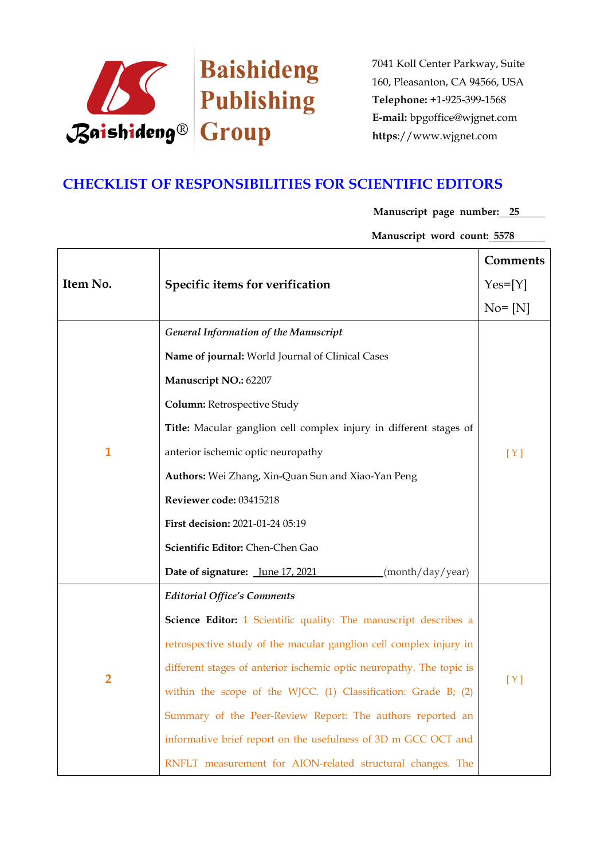

## **CHECKLIST OF RESPONSIBILITIES FOR SCIENTIFIC EDITORS**

**Manuscript page number: 25**

**Manuscript word count: 5578**

|                |                                                                      | Comments   |
|----------------|----------------------------------------------------------------------|------------|
| Item No.       | Specific items for verification                                      | $Yes=[Y]$  |
|                |                                                                      | $No = [N]$ |
|                | <b>General Information of the Manuscript</b>                         |            |
|                | Name of journal: World Journal of Clinical Cases                     |            |
|                | Manuscript NO.: 62207                                                |            |
|                | Column: Retrospective Study                                          |            |
|                | Title: Macular ganglion cell complex injury in different stages of   |            |
| $\mathbf{1}$   | anterior ischemic optic neuropathy                                   | [Y]        |
|                | Authors: Wei Zhang, Xin-Quan Sun and Xiao-Yan Peng                   |            |
|                | Reviewer code: 03415218                                              |            |
|                | First decision: 2021-01-24 05:19                                     |            |
|                | Scientific Editor: Chen-Chen Gao                                     |            |
|                | Date of signature: June 17, 2021<br>(month/day/year)                 |            |
|                | <b>Editorial Office's Comments</b>                                   |            |
|                | Science Editor: 1 Scientific quality: The manuscript describes a     |            |
| $\overline{2}$ | retrospective study of the macular ganglion cell complex injury in   |            |
|                | different stages of anterior ischemic optic neuropathy. The topic is | [Y]        |
|                | within the scope of the WJCC. (1) Classification: Grade B; (2)       |            |
|                | Summary of the Peer-Review Report: The authors reported an           |            |
|                | informative brief report on the usefulness of 3D m GCC OCT and       |            |
|                | RNFLT measurement for AION-related structural changes. The           |            |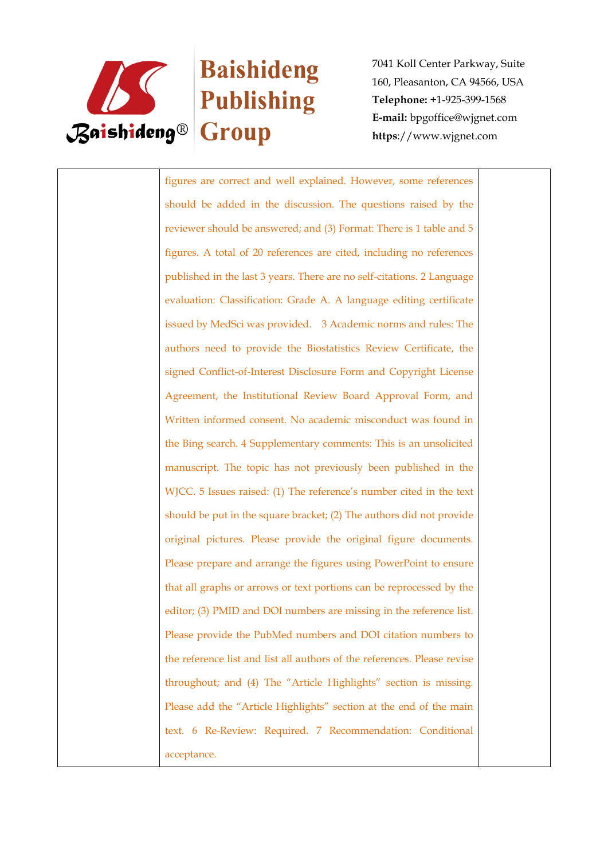

# **Baishideng Example 18** Publishing

7041 Koll Center Parkway, Suite 160, Pleasanton, CA 94566, USA **Telephone:** +1-925-399-1568 **E-mail:** bpgoffice@wjgnet.com **https**://www.wjgnet.com

figures are correct and well explained. However, some references should be added in the discussion. The questions raised by the reviewer should be answered; and (3) Format: There is 1 table and 5 figures. A total of 20 references are cited, including no references published in the last 3 years. There are no self-citations. 2 Language evaluation: Classification: Grade A. A language editing certificate issued by MedSci was provided. 3 Academic norms and rules: The authors need to provide the Biostatistics Review Certificate, the signed Conflict-of-Interest Disclosure Form and Copyright License Agreement, the Institutional Review Board Approval Form, and Written informed consent. No academic misconduct was found in the Bing search. 4 Supplementary comments: This is an unsolicited manuscript. The topic has not previously been published in the WJCC. 5 Issues raised: (1) The reference's number cited in the text should be put in the square bracket; (2) The authors did not provide original pictures. Please provide the original figure documents. Please prepare and arrange the figures using PowerPoint to ensure that all graphs or arrows or text portions can be reprocessed by the editor; (3) PMID and DOI numbers are missing in the reference list. Please provide the PubMed numbers and DOI citation numbers to the reference list and list all authors of the references. Please revise throughout; and (4) The "Article Highlights" section is missing. Please add the "Article Highlights" section at the end of the main text. 6 Re-Review: Required. 7 Recommendation: Conditional acceptance.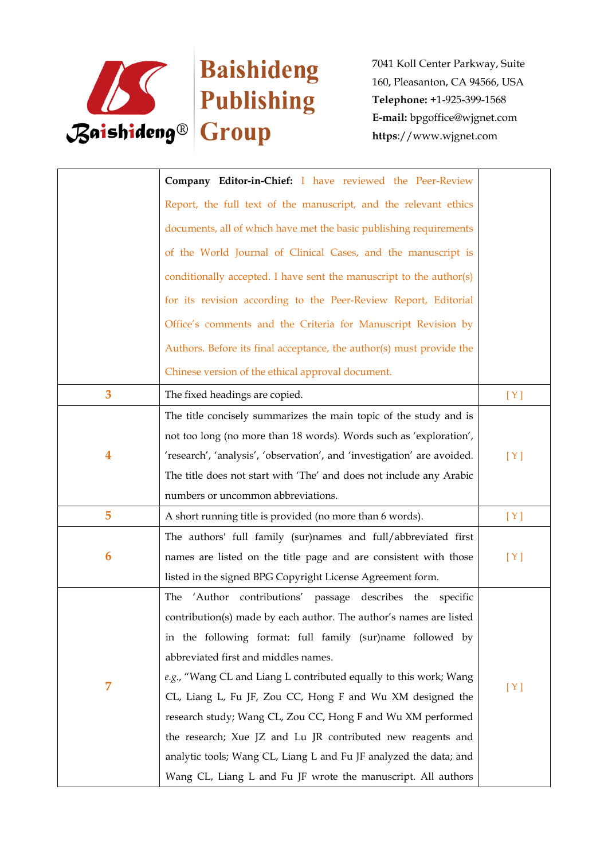

|   | Company Editor-in-Chief: I have reviewed the Peer-Review                |     |
|---|-------------------------------------------------------------------------|-----|
|   | Report, the full text of the manuscript, and the relevant ethics        |     |
|   | documents, all of which have met the basic publishing requirements      |     |
|   | of the World Journal of Clinical Cases, and the manuscript is           |     |
|   | conditionally accepted. I have sent the manuscript to the author(s)     |     |
|   | for its revision according to the Peer-Review Report, Editorial         |     |
|   | Office's comments and the Criteria for Manuscript Revision by           |     |
|   | Authors. Before its final acceptance, the author(s) must provide the    |     |
|   | Chinese version of the ethical approval document.                       |     |
| 3 | The fixed headings are copied.                                          | [Y] |
|   | The title concisely summarizes the main topic of the study and is       |     |
|   | not too long (no more than 18 words). Words such as 'exploration',      |     |
| 4 | 'research', 'analysis', 'observation', and 'investigation' are avoided. | [Y] |
|   | The title does not start with 'The' and does not include any Arabic     |     |
|   | numbers or uncommon abbreviations.                                      |     |
| 5 | A short running title is provided (no more than 6 words).               | [Y] |
|   | The authors' full family (sur)names and full/abbreviated first          |     |
| 6 | names are listed on the title page and are consistent with those        | [Y] |
|   | listed in the signed BPG Copyright License Agreement form.              |     |
|   | 'Author contributions' passage<br>describes the specific<br>The         |     |
|   | contribution(s) made by each author. The author's names are listed      |     |
|   | in the following format: full family (sur)name followed by              |     |
| 7 | abbreviated first and middles names.                                    |     |
|   | e.g., "Wang CL and Liang L contributed equally to this work; Wang       |     |
|   | CL, Liang L, Fu JF, Zou CC, Hong F and Wu XM designed the               | [Y] |
|   | research study; Wang CL, Zou CC, Hong F and Wu XM performed             |     |
|   | the research; Xue JZ and Lu JR contributed new reagents and             |     |
|   | analytic tools; Wang CL, Liang L and Fu JF analyzed the data; and       |     |
|   | Wang CL, Liang L and Fu JF wrote the manuscript. All authors            |     |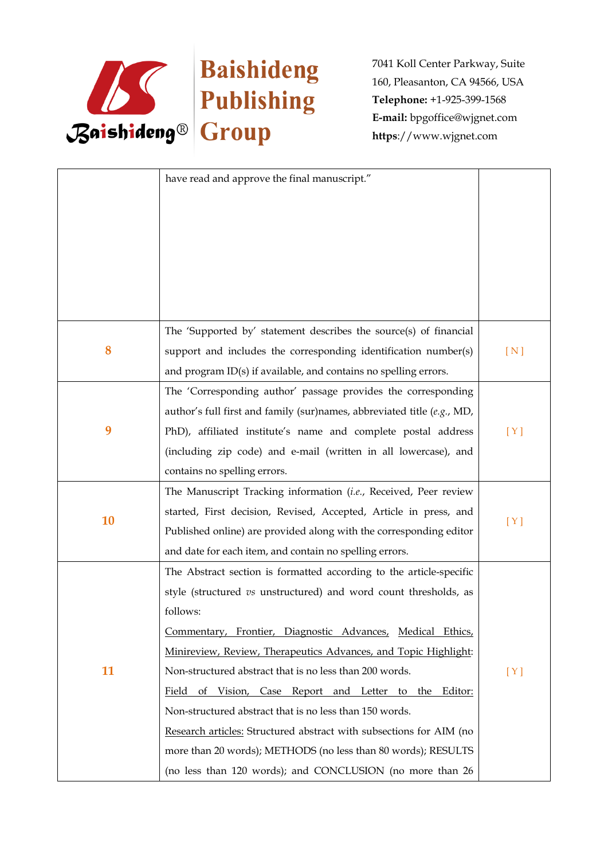

|    | have read and approve the final manuscript."                            |     |
|----|-------------------------------------------------------------------------|-----|
|    |                                                                         |     |
|    |                                                                         |     |
|    |                                                                         |     |
|    |                                                                         |     |
|    |                                                                         |     |
|    |                                                                         |     |
|    |                                                                         |     |
|    | The 'Supported by' statement describes the source(s) of financial       |     |
| 8  | support and includes the corresponding identification number(s)         | [N] |
|    | and program ID(s) if available, and contains no spelling errors.        |     |
|    | The 'Corresponding author' passage provides the corresponding           |     |
|    | author's full first and family (sur)names, abbreviated title (e.g., MD, |     |
| 9  | PhD), affiliated institute's name and complete postal address           | [Y] |
|    | (including zip code) and e-mail (written in all lowercase), and         |     |
|    | contains no spelling errors.                                            |     |
|    | The Manuscript Tracking information (i.e., Received, Peer review        |     |
|    | started, First decision, Revised, Accepted, Article in press, and       |     |
| 10 | Published online) are provided along with the corresponding editor      | [Y] |
|    | and date for each item, and contain no spelling errors.                 |     |
|    | The Abstract section is formatted according to the article-specific     |     |
|    | style (structured vs unstructured) and word count thresholds, as        |     |
|    | follows:                                                                |     |
|    | Commentary, Frontier, Diagnostic Advances, Medical Ethics,              |     |
|    | Minireview, Review, Therapeutics Advances, and Topic Highlight:         |     |
| 11 | Non-structured abstract that is no less than 200 words.                 | [Y] |
|    | Field of Vision, Case Report and Letter to the Editor:                  |     |
|    | Non-structured abstract that is no less than 150 words.                 |     |
|    | Research articles: Structured abstract with subsections for AIM (no     |     |
|    | more than 20 words); METHODS (no less than 80 words); RESULTS           |     |
|    | (no less than 120 words); and CONCLUSION (no more than 26               |     |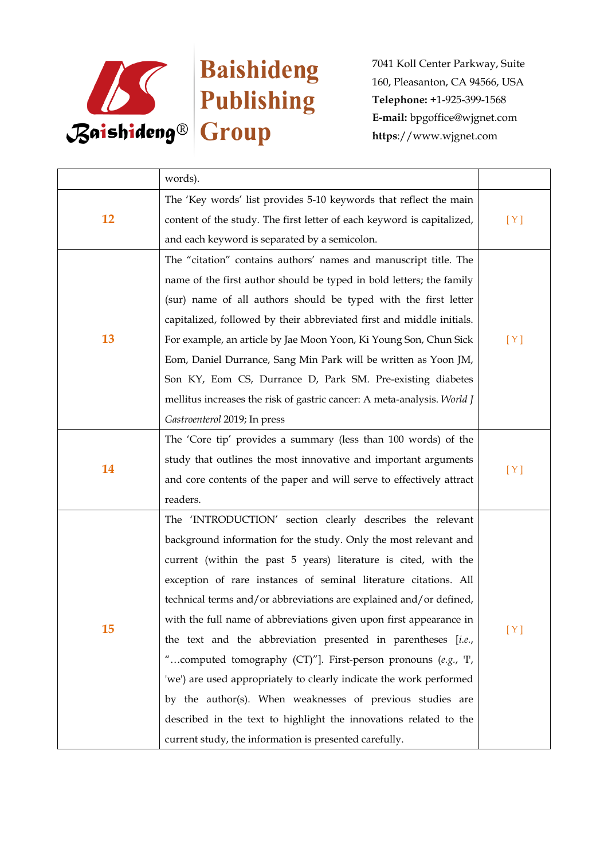

|    | words).                                                                 |     |
|----|-------------------------------------------------------------------------|-----|
| 12 | The 'Key words' list provides 5-10 keywords that reflect the main       |     |
|    | content of the study. The first letter of each keyword is capitalized,  | [Y] |
|    | and each keyword is separated by a semicolon.                           |     |
|    | The "citation" contains authors' names and manuscript title. The        |     |
|    | name of the first author should be typed in bold letters; the family    |     |
|    | (sur) name of all authors should be typed with the first letter         |     |
|    | capitalized, followed by their abbreviated first and middle initials.   |     |
| 13 | For example, an article by Jae Moon Yoon, Ki Young Son, Chun Sick       | [Y] |
|    | Eom, Daniel Durrance, Sang Min Park will be written as Yoon JM,         |     |
|    | Son KY, Eom CS, Durrance D, Park SM. Pre-existing diabetes              |     |
|    | mellitus increases the risk of gastric cancer: A meta-analysis. World J |     |
|    | Gastroenterol 2019; In press                                            |     |
|    | The 'Core tip' provides a summary (less than 100 words) of the          |     |
| 14 | study that outlines the most innovative and important arguments         |     |
|    | and core contents of the paper and will serve to effectively attract    | [Y] |
|    | readers.                                                                |     |
|    | The 'INTRODUCTION' section clearly describes the relevant               | [Y] |
|    | background information for the study. Only the most relevant and        |     |
|    | current (within the past 5 years) literature is cited, with the         |     |
|    | exception of rare instances of seminal literature citations. All        |     |
|    | technical terms and/or abbreviations are explained and/or defined,      |     |
|    | with the full name of abbreviations given upon first appearance in      |     |
| 15 | the text and the abbreviation presented in parentheses [i.e.,           |     |
|    | "computed tomography (CT)"]. First-person pronouns (e.g., T,            |     |
|    | 'we') are used appropriately to clearly indicate the work performed     |     |
|    | by the author(s). When weaknesses of previous studies are               |     |
|    | described in the text to highlight the innovations related to the       |     |
|    | current study, the information is presented carefully.                  |     |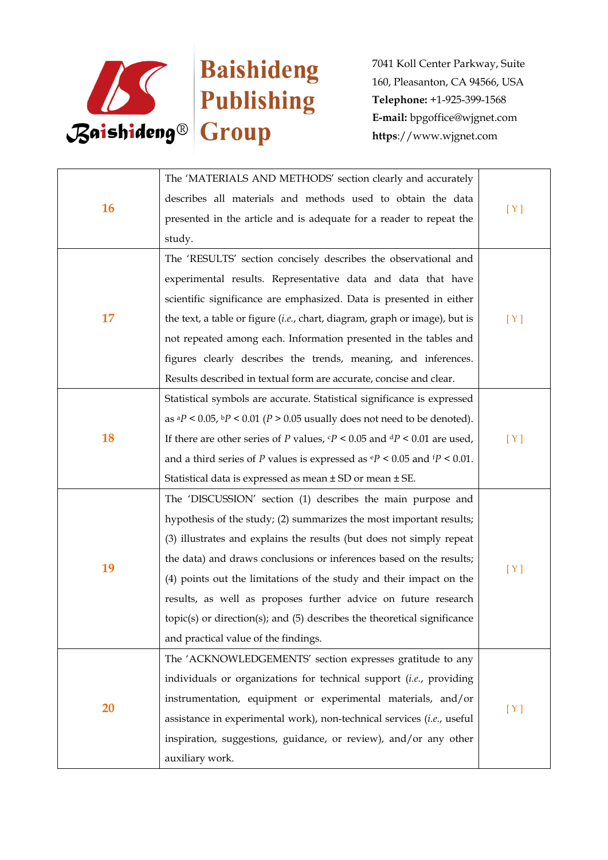

| 16 | The 'MATERIALS AND METHODS' section clearly and accurately                                      |     |
|----|-------------------------------------------------------------------------------------------------|-----|
|    | describes all materials and methods used to obtain the data                                     |     |
|    | presented in the article and is adequate for a reader to repeat the                             | [Y] |
|    | study.                                                                                          |     |
|    | The 'RESULTS' section concisely describes the observational and                                 |     |
|    | experimental results. Representative data and data that have                                    |     |
|    | scientific significance are emphasized. Data is presented in either                             |     |
| 17 | the text, a table or figure (i.e., chart, diagram, graph or image), but is                      | [Y] |
|    | not repeated among each. Information presented in the tables and                                |     |
|    | figures clearly describes the trends, meaning, and inferences.                                  |     |
|    | Results described in textual form are accurate, concise and clear.                              |     |
|    | Statistical symbols are accurate. Statistical significance is expressed                         |     |
|    | as ${}^{a}P$ < 0.05, ${}^{b}P$ < 0.01 (P > 0.05 usually does not need to be denoted).           |     |
| 18 | If there are other series of P values, $\epsilon P < 0.05$ and $\frac{dP}{dP} < 0.01$ are used, | [Y] |
|    | and a third series of P values is expressed as $\mathbf{e}P < 0.05$ and $\mathbf{f}P < 0.01$ .  |     |
|    | Statistical data is expressed as mean ± SD or mean ± SE.                                        |     |
|    | The 'DISCUSSION' section (1) describes the main purpose and                                     |     |
|    | hypothesis of the study; (2) summarizes the most important results;                             |     |
|    | (3) illustrates and explains the results (but does not simply repeat                            |     |
| 19 | the data) and draws conclusions or inferences based on the results;                             | [Y] |
|    | (4) points out the limitations of the study and their impact on the                             |     |
|    | results, as well as proposes further advice on future research                                  |     |
|    | $topic(s)$ or direction $(s)$ ; and $(5)$ describes the theoretical significance                |     |
|    | and practical value of the findings.                                                            |     |
| 20 | The 'ACKNOWLEDGEMENTS' section expresses gratitude to any                                       |     |
|    | individuals or organizations for technical support (i.e., providing                             |     |
|    | instrumentation, equipment or experimental materials, and/or                                    | [Y] |
|    | assistance in experimental work), non-technical services (i.e., useful                          |     |
|    | inspiration, suggestions, guidance, or review), and/or any other                                |     |
|    | auxiliary work.                                                                                 |     |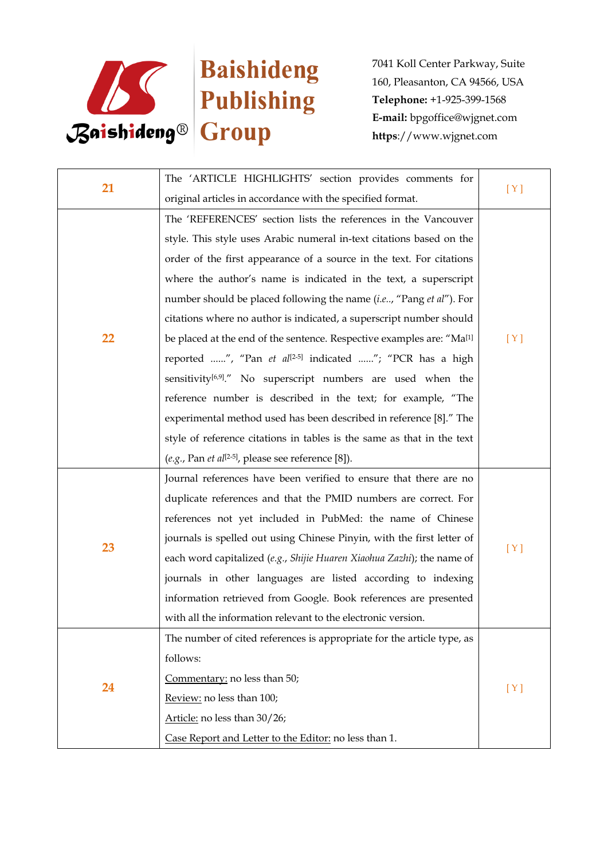

| 21 | The 'ARTICLE HIGHLIGHTS' section provides comments for                            |     |
|----|-----------------------------------------------------------------------------------|-----|
|    | original articles in accordance with the specified format.                        | [Y] |
|    | The 'REFERENCES' section lists the references in the Vancouver                    |     |
|    | style. This style uses Arabic numeral in-text citations based on the              |     |
|    | order of the first appearance of a source in the text. For citations              |     |
|    | where the author's name is indicated in the text, a superscript                   |     |
|    | number should be placed following the name (i.e, "Pang et al"). For               |     |
|    | citations where no author is indicated, a superscript number should               |     |
| 22 | be placed at the end of the sentence. Respective examples are: "Ma <sup>[1]</sup> | [Y] |
|    | reported ", "Pan et al <sup>[2-5]</sup> indicated "; "PCR has a high              |     |
|    | sensitivity <sup>[6,9]</sup> ." No superscript numbers are used when the          |     |
|    | reference number is described in the text; for example, "The                      |     |
|    | experimental method used has been described in reference [8]." The                |     |
|    | style of reference citations in tables is the same as that in the text            |     |
|    | (e.g., Pan et al <sup>[2-5]</sup> , please see reference [8]).                    |     |
|    | Journal references have been verified to ensure that there are no                 |     |
|    | duplicate references and that the PMID numbers are correct. For                   | [Y] |
|    | references not yet included in PubMed: the name of Chinese                        |     |
| 23 | journals is spelled out using Chinese Pinyin, with the first letter of            |     |
|    | each word capitalized (e.g., Shijie Huaren Xiaohua Zazhi); the name of            |     |
|    | journals in other languages are listed according to indexing                      |     |
|    | information retrieved from Google. Book references are presented                  |     |
|    | with all the information relevant to the electronic version.                      |     |
|    | The number of cited references is appropriate for the article type, as            |     |
| 24 | follows:                                                                          |     |
|    | Commentary: no less than 50;                                                      |     |
|    | Review: no less than 100;                                                         | [Y] |
|    | Article: no less than 30/26;                                                      |     |
|    | Case Report and Letter to the Editor: no less than 1.                             |     |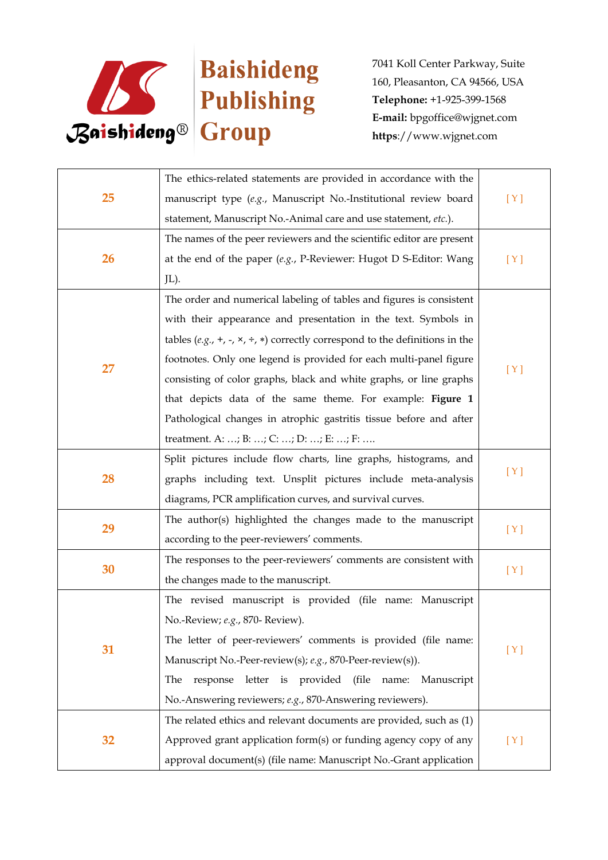

| 25 | The ethics-related statements are provided in accordance with the                         |     |
|----|-------------------------------------------------------------------------------------------|-----|
|    | manuscript type (e.g., Manuscript No.-Institutional review board                          | [Y] |
|    | statement, Manuscript No.-Animal care and use statement, etc.).                           |     |
|    | The names of the peer reviewers and the scientific editor are present                     |     |
| 26 | at the end of the paper $(e.g., P\text{-}Reviewer: Hugot D \text{ S-Editor: Wang})$       | [Y] |
|    | JL).                                                                                      |     |
|    | The order and numerical labeling of tables and figures is consistent                      |     |
|    | with their appearance and presentation in the text. Symbols in                            |     |
|    | tables (e.g., +, -, $\times$ , ÷, $\ast$ ) correctly correspond to the definitions in the |     |
| 27 | footnotes. Only one legend is provided for each multi-panel figure                        |     |
|    | consisting of color graphs, black and white graphs, or line graphs                        | [Y] |
|    | that depicts data of the same theme. For example: Figure 1                                |     |
|    | Pathological changes in atrophic gastritis tissue before and after                        |     |
|    | treatment. A: ; B: ; C: ; D: ; E: ; F:                                                    |     |
|    | Split pictures include flow charts, line graphs, histograms, and                          |     |
| 28 | graphs including text. Unsplit pictures include meta-analysis                             | [Y] |
|    | diagrams, PCR amplification curves, and survival curves.                                  |     |
| 29 | The author(s) highlighted the changes made to the manuscript                              | [Y] |
|    | according to the peer-reviewers' comments.                                                |     |
| 30 | The responses to the peer-reviewers' comments are consistent with                         | [Y] |
|    | the changes made to the manuscript.                                                       |     |
| 31 | The revised manuscript is provided (file name: Manuscript                                 |     |
|    | No.-Review; e.g., 870- Review).                                                           |     |
|    | The letter of peer-reviewers' comments is provided (file name:                            | [Y] |
|    | Manuscript No.-Peer-review(s); e.g., 870-Peer-review(s)).                                 |     |
|    | (file<br>The<br>letter<br>is provided<br>response<br>name:<br>Manuscript                  |     |
|    | No.-Answering reviewers; e.g., 870-Answering reviewers).                                  |     |
|    | The related ethics and relevant documents are provided, such as (1)                       |     |
| 32 | Approved grant application form(s) or funding agency copy of any                          | [Y] |
|    | approval document(s) (file name: Manuscript No.-Grant application                         |     |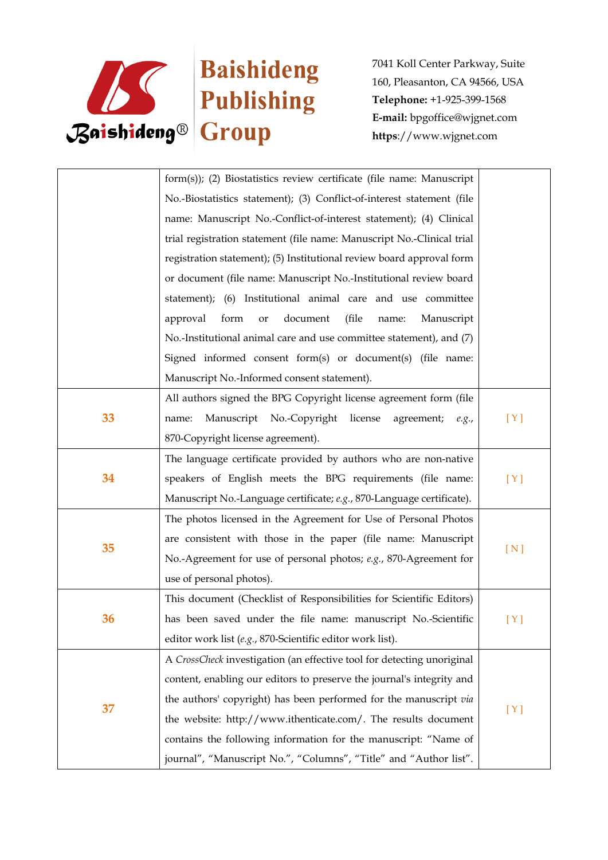

|    | form(s)); (2) Biostatistics review certificate (file name: Manuscript  |       |
|----|------------------------------------------------------------------------|-------|
|    | No.-Biostatistics statement); (3) Conflict-of-interest statement (file |       |
|    | name: Manuscript No.-Conflict-of-interest statement); (4) Clinical     |       |
|    | trial registration statement (file name: Manuscript No.-Clinical trial |       |
|    | registration statement); (5) Institutional review board approval form  |       |
|    | or document (file name: Manuscript No.-Institutional review board      |       |
|    | statement); (6) Institutional animal care and use committee            |       |
|    | document<br>approval<br>form<br>(file<br>Manuscript<br>or<br>name:     |       |
|    | No.-Institutional animal care and use committee statement), and (7)    |       |
|    | Signed informed consent form(s) or document(s) (file name:             |       |
|    | Manuscript No.-Informed consent statement).                            |       |
|    | All authors signed the BPG Copyright license agreement form (file      |       |
| 33 | Manuscript No.-Copyright license<br>agreement;<br>name:<br>e.g.,       | [Y]   |
|    | 870-Copyright license agreement).                                      |       |
|    | The language certificate provided by authors who are non-native        |       |
| 34 | speakers of English meets the BPG requirements (file name:             | [Y]   |
|    | Manuscript No.-Language certificate; e.g., 870-Language certificate).  |       |
|    | The photos licensed in the Agreement for Use of Personal Photos        |       |
|    | are consistent with those in the paper (file name: Manuscript          |       |
| 35 | No.-Agreement for use of personal photos; e.g., 870-Agreement for      | [N]   |
|    | use of personal photos).                                               |       |
| 36 | This document (Checklist of Responsibilities for Scientific Editors)   |       |
|    | has been saved under the file name: manuscript No.-Scientific          | [ Y ] |
|    | editor work list (e.g., 870-Scientific editor work list).              |       |
| 37 | A CrossCheck investigation (an effective tool for detecting unoriginal |       |
|    | content, enabling our editors to preserve the journal's integrity and  |       |
|    | the authors' copyright) has been performed for the manuscript via      |       |
|    | the website: http://www.ithenticate.com/. The results document         | [Y]   |
|    | contains the following information for the manuscript: "Name of        |       |
|    | journal", "Manuscript No.", "Columns", "Title" and "Author list".      |       |